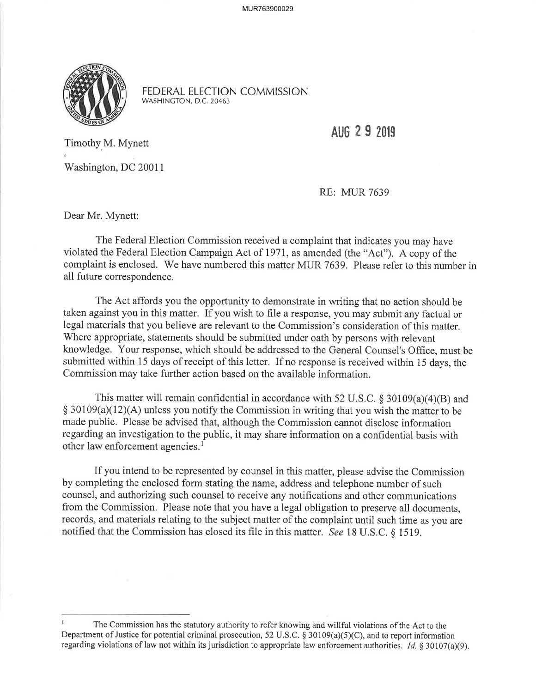

FEDERAL ELECTION COMMISSION WASHINCTON, D.C.20463

AUG 2 9 2019

Timothy M. Mynett

Washington, DC 20011

RE: MUR 7639

Dear Mr. Mynett:

The Federal Election Commission received a complaint that indicates you may have violated the Federal Election Campaign Act of I971, as amended (the "Act"). A copy of the complaint is enclosed. We have numbered this matter MUR 7639. Please refer to this number in all future correspondence.

The Act affords you the opportunity to demonstrate in writing that no action should be taken against you in this matter. If you wish to file a response, you may submit any factual or legal materials that you believe are relevant to the Commission's consideration of this matter. Where appropriate, statements should be submitted under oath by persons with relevant knowledge. Your response, which should be addressed to the General Counsel's Office, must be submitted within 15 days of receipt of this letter. If no response is received within 15 days, the Commission may take further action based on the available information.

This matter will remain confidential in accordance with 52 U.S.C.  $\S 30109(a)(4)(B)$  and  $$ 30109(a)(12)(A)$  unless you notify the Commission in writing that you wish the matter to be made public. Please be advised that, although the Commission cannot disclose information regarding an investigation to the public, it may share information on a confidential basis with other law enforcement agencies.<sup>1</sup>

If you intend to be represented by counsel in this matter, please advise the Commission by completing the enclosed form stating the name, address and telephone number of such counsel, and authorizing such counsel to receive any notifications and other communications from the Commission. Please note that you have a legal obligation to preserve all documents, records, and materials relating to the subject matter of the complaint until such time as you are notified that the Commission has closed its file in this matter. See 18 U.S.C. \$ 1519.

I The Commission has the statutory authority to refer knowing and willful violations of the Act to the Department of Justice for potential criminal prosecution, 52 U.S.C. § 30109(a)(5)(C), and to report information regarding violations of law not within its jurisdiction to appropriate law enforcement authorities. *Id.* § 30107(a)(9).